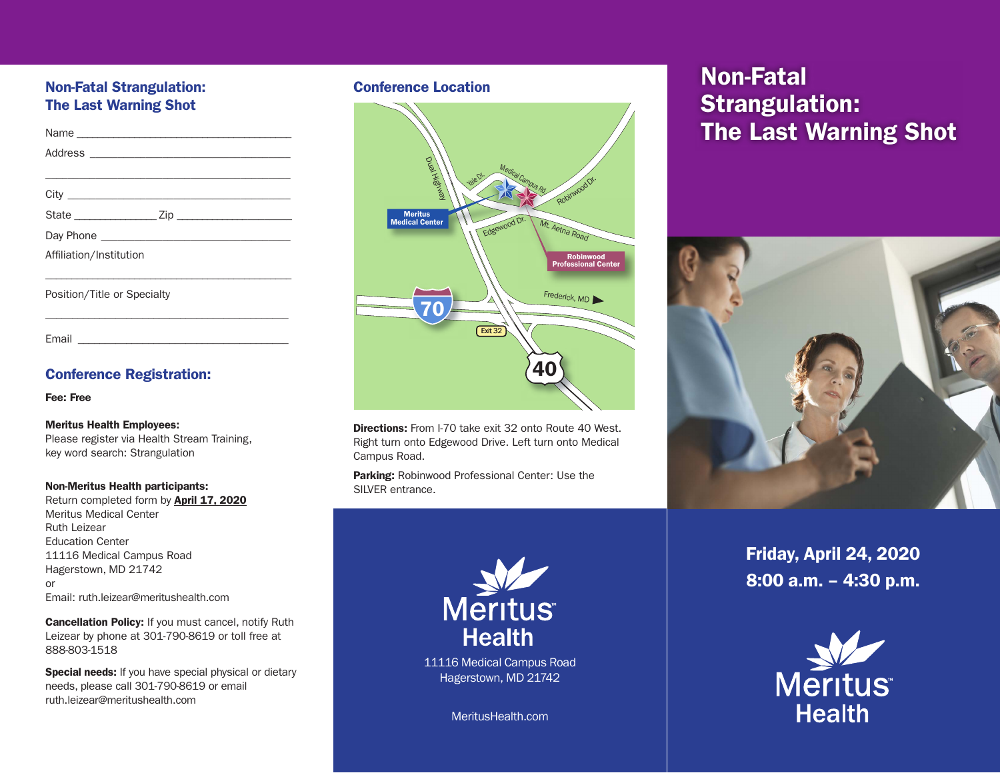## Non-Fatal Strangulation: The Last Warning Shot

| Affiliation/Institution     |
|-----------------------------|
|                             |
| Position/Title or Specialty |

\_\_\_\_\_\_\_\_\_\_\_\_\_\_\_\_\_\_\_\_\_\_\_\_\_\_\_\_\_\_\_\_\_\_\_\_\_\_\_\_\_\_\_\_\_

Email \_\_\_\_\_\_\_\_\_\_\_\_\_\_\_\_\_\_\_\_\_\_\_\_\_\_\_\_\_\_\_\_\_\_\_\_\_\_\_

### Conference Registration:

Fee: Free

#### Meritus Health Employees:

Please register via Health Stream Training, key word search: Strangulation

#### Non-Meritus Health participants:

Return completed form by April 17, 2020 Meritus Medical Center Ruth Leizear Education Center 11116 Medical Campus Road Hagerstown, MD 21742 or Email: ruth.leizear@meritushealth.com

Cancellation Policy: If you must cancel, notify Ruth Leizear by phone at 301-790-8619 or toll free at 888-803-1518

Special needs: If you have special physical or dietary needs, please call 301-790-8619 or email ruth.leizear@meritushealth.com

### Conference Location



**Directions:** From I-70 take exit 32 onto Route 40 West. Right turn onto Edgewood Drive. Left turn onto Medical Campus Road.

Parking: Robinwood Professional Center: Use the SILVER entrance.



11116 Medical Campus Road Hagerstown, MD 21742

MeritusHealth.com

# Non-Fatal Strangulation: The Last Warning Shot



Friday, April 24, 2020 8:00 a.m. – 4:30 p.m.